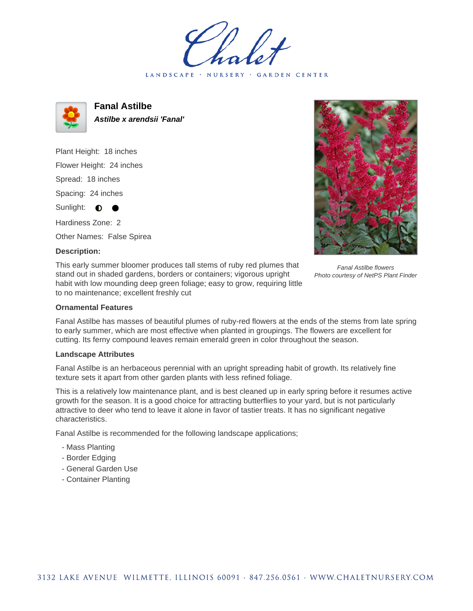LANDSCAPE · NURSERY · GARDEN CENTER



**Fanal Astilbe Astilbe x arendsii 'Fanal'**

Plant Height: 18 inches Flower Height: 24 inches Spread: 18 inches Spacing: 24 inches Sunlight:  $\bullet$ Hardiness Zone: 2

Other Names: False Spirea

## **Description:**

This early summer bloomer produces tall stems of ruby red plumes that stand out in shaded gardens, borders or containers; vigorous upright habit with low mounding deep green foliage; easy to grow, requiring little to no maintenance; excellent freshly cut



Fanal Astilbe has masses of beautiful plumes of ruby-red flowers at the ends of the stems from late spring to early summer, which are most effective when planted in groupings. The flowers are excellent for cutting. Its ferny compound leaves remain emerald green in color throughout the season.

## **Landscape Attributes**

Fanal Astilbe is an herbaceous perennial with an upright spreading habit of growth. Its relatively fine texture sets it apart from other garden plants with less refined foliage.

This is a relatively low maintenance plant, and is best cleaned up in early spring before it resumes active growth for the season. It is a good choice for attracting butterflies to your yard, but is not particularly attractive to deer who tend to leave it alone in favor of tastier treats. It has no significant negative characteristics.

Fanal Astilbe is recommended for the following landscape applications;

- Mass Planting
- Border Edging
- General Garden Use
- Container Planting



Fanal Astilbe flowers Photo courtesy of NetPS Plant Finder